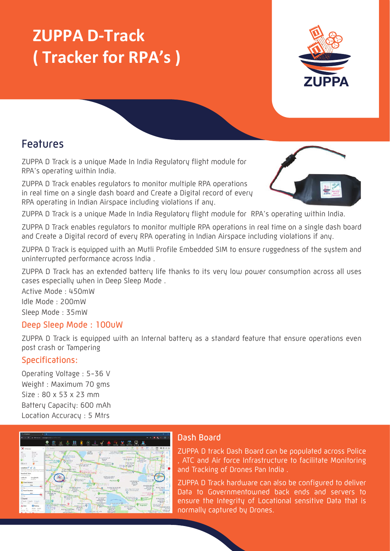# **ZUPPA D-Track ( Tracker for RPA's )**



### Features

ZUPPA D Track is a unique Made In India Regulatory flight module for RPA's operating within India.

ZUPPA D Track enables regulators to monitor multiple RPA operations in real time on a single dash board and Create a Digital record of every RPA operating in Indian Airspace including violations if any.



ZUPPA D Track is a unique Made In India Regulatory flight module for RPA's operating within India.

ZUPPA D Track enables regulators to monitor multiple RPA operations in real time on a single dash board and Create a Digital record of every RPA operating in Indian Airspace including violations if any.

ZUPPA D Track is equipped with an Mutli Profile Embedded SIM to ensure ruggedness of the system and uninterrupted performance across India .

ZUPPA D Track has an extended battery life thanks to its very low power consumption across all uses cases especially when in Deep Sleep Mode .

Active Mode : 450mW Idle Mode : 200mW Sleep Mode : 35mW

#### Deep Sleep Mode : 100uW

ZUPPA D Track is equipped with an Internal battery as a standard feature that ensure operations even post crash or Tampering

#### Specifications:

Operating Voltage : 5-36 V Weight : Maximum 70 gms Size : 80 x 53 x 23 mm Battery Capacity: 600 mAh Location Accuracy : 5 Mtrs



#### Dash Board

ZUPPA D track Dash Board can be populated across Police , ATC and Air force Infrastructure to facilitate Monitoring and Tracking of Drones Pan India .

ZUPPA D Track hardware can also be configured to deliver Data to Governmentowned back ends and servers to ensure the Integrity of Locational sensitive Data that is normally captured by Drones.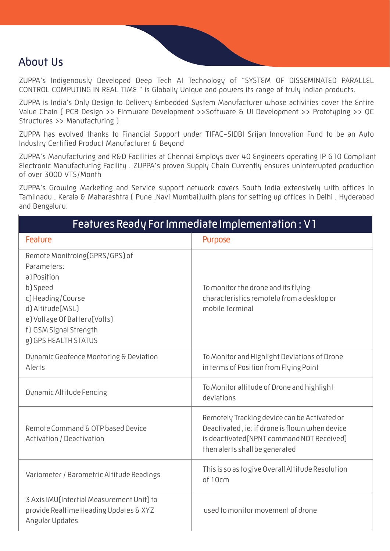### About Us

ZUPPA's Indigenously Developed Deep Tech AI Technology of "SYSTEM OF DISSEMINATED PARALLEL CONTROL COMPUTING IN REAL TIME " is Globally Unique and powers its range of truly Indian products.

ZUPPA is India's Only Design to Delivery Embedded System Manufacturer whose activities cover the Entire Value Chain ( PCB Design >> Firmware Development >>Software & UI Development >> Prototyping >> QC Structures >> Manufacturing )

ZUPPA has evolved thanks to Financial Support under TIFAC-SIDBI Srijan Innovation Fund to be an Auto Industry Certified Product Manufacturer & Beyond

ZUPPA's Manufacturing and R&D Facilities at Chennai Employs over 40 Engineers operating IP 610 Compliant Electronic Manufacturing Facility . ZUPPA's proven Supply Chain Currently ensures uninterrupted production of over 3000 VTS/Month

ZUPPA's Growing Marketing and Service support network covers South India extensively with offices in Tamilnadu , Kerala & Maharashtra ( Pune ,Navi Mumbai)with plans for setting up offices in Delhi , Hyderabad and Bengaluru.

| Features Ready For Immediate Implementation : V1                                                                                                                                                     |                                                                                                                                                                               |  |
|------------------------------------------------------------------------------------------------------------------------------------------------------------------------------------------------------|-------------------------------------------------------------------------------------------------------------------------------------------------------------------------------|--|
| Feature                                                                                                                                                                                              | Purpose                                                                                                                                                                       |  |
| Remote Monitroing(GPRS/GPS) of<br>Parameters:<br>a) Position<br>b) Speed<br>c) Heading/Course<br>d) Altitude(MSL)<br>e) Voltage Of Battery (Volts)<br>f) GSM Signal Strength<br>g) GPS HEALTH STATUS | To monitor the drone and its flying<br>characteristics remotely from a desktop or<br>mobile Terminal                                                                          |  |
| Dynamic Geofence Montoring & Deviation<br>Alerts                                                                                                                                                     | To Monitor and Highlight Deviations of Drone<br>in terms of Position from Flying Point                                                                                        |  |
| Dynamic Altitude Fencing                                                                                                                                                                             | To Monitor altitude of Drone and highlight<br>deviations                                                                                                                      |  |
| Remote Command & OTP based Device<br>Activation / Deactivation                                                                                                                                       | Remotely Tracking device can be Activated or<br>Deactivated, ie: if drone is flown when device<br>is deactivated(NPNT command NOT Received)<br>then alerts shall be generated |  |
| Variometer / Barometric Altitude Readings                                                                                                                                                            | This is so as to give Overall Altitude Resolution<br>of 10cm                                                                                                                  |  |
| 3 Axis IMU(Intertial Measurement Unit) to<br>provide Realtime Heading Updates & XYZ<br>Angular Updates                                                                                               | used to monitor movement of drone                                                                                                                                             |  |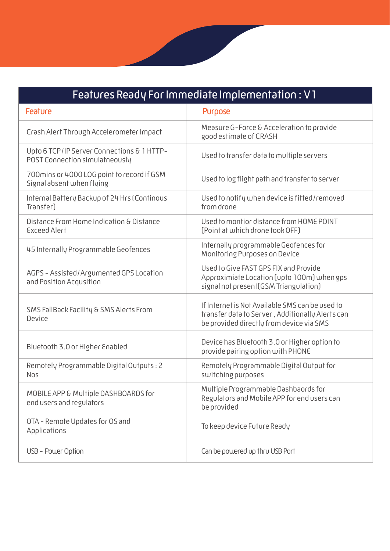## Features Ready For Immediate Implementation : V1

| Feature                                                                      | Purpose                                                                                                                                         |
|------------------------------------------------------------------------------|-------------------------------------------------------------------------------------------------------------------------------------------------|
| Crash Alert Through Accelerometer Impact                                     | Measure G-Force & Acceleration to provide<br>good estimate of CRASH                                                                             |
| Upto 6 TCP/IP Server Connections & 1 HTTP-<br>POST Connection simulatneously | Used to transfer data to multiple servers                                                                                                       |
| 700 mins or 4000 LOG point to record if GSM<br>Signal absent when flying     | Used to log flight path and transfer to server                                                                                                  |
| Internal Battery Backup of 24 Hrs (Continous<br>Transfer)                    | Used to notify when device is fitted/removed<br>from drone                                                                                      |
| Distance From Home Indication & Distance<br>Exceed Alert                     | Used to montior distance from HOME POINT<br>(Point at which drone took OFF)                                                                     |
| 45 Internally Programmable Geofences                                         | Internally programmable Geofences for<br>Monitoring Purposes on Device                                                                          |
| AGPS - Assisted/Argumented GPS Location<br>and Position Acqusition           | Used to Give FAST GPS FIX and Provide<br>Approximiate Location (upto 100m) when gps<br>signal not present(GSM Triangulation)                    |
| SMS FallBack Facility & SMS Alerts From<br>Device                            | If Internet is Not Available SMS can be used to<br>transfer data to Server, Additionally Alerts can<br>be provided directly from device via SMS |
| Bluetooth 3.0 or Higher Enabled                                              | Device has Bluetooth 3.0 or Higher option to<br>provide pairing option with PHONE                                                               |
| Remotely Programmable Digital Outputs: 2<br><b>Nos</b>                       | Remotely Programmable Digital Output for<br>switching purposes                                                                                  |
| MOBILE APP & Multiple DASHBOARDS for<br>end users and regulators             | Multiple Programmable Dashbaords for<br>Regulators and Mobile APP for end users can<br>be provided                                              |
| OTA - Remote Updates for OS and<br>Applications                              | To keep device Future Ready                                                                                                                     |
| USB - Power Option                                                           | Can be powered up thru USB Port                                                                                                                 |